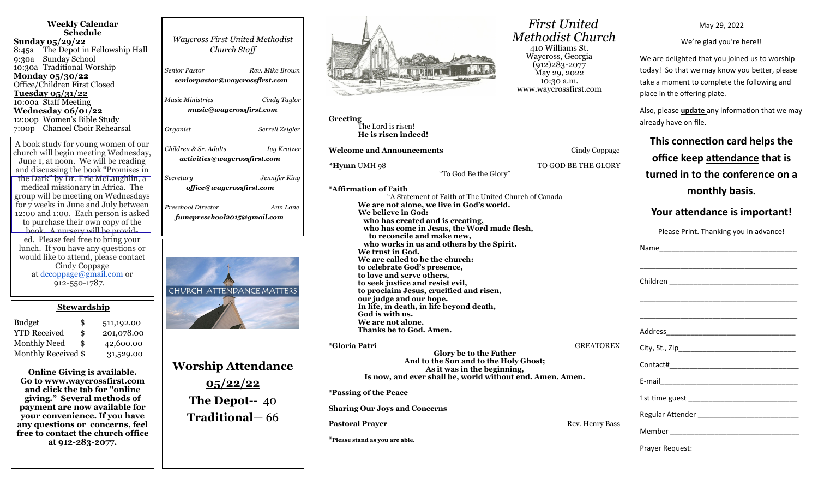| <b>Weekly Calendar</b><br><b>Schedule</b><br><u>Sunday 05/29/22</u><br>8:45a The Depot in Fellowship Hall<br>9:30a Sunday School<br>10:30a Traditional Worship<br><b>Monday 05/30/22</b><br>Office/Children First Closed<br>Tuesday 05/31/22<br>10:00a Staff Meeting<br>Wednesday 06/01/22<br>12:00p Women's Bible Study<br>7:00p Chancel Choir Rehearsal | <b>Waycross First United Methodist</b><br>Church Staff<br><b>Senior Pastor</b><br>Rev. Mike Brown<br>seniorpastor@waycrossfirst.com<br><b>Music Ministries</b><br>Cindy Taylor<br>music@waycrossfirst.com<br>Organist<br>Serrell Zeigler |
|-----------------------------------------------------------------------------------------------------------------------------------------------------------------------------------------------------------------------------------------------------------------------------------------------------------------------------------------------------------|------------------------------------------------------------------------------------------------------------------------------------------------------------------------------------------------------------------------------------------|
| A book study for young women of our<br>church will begin meeting Wednesday,<br>June 1, at noon. We will be reading<br>and discussing the book "Promises in<br>the Dark" by Dr. Eric McLaughlin, a<br>medical missionary in Africa. The<br>group will be meeting on Wednesdays                                                                             | Children & Sr. Adults<br><b>Ivy Kratzer</b><br>activities@waycrossfirst.com<br>Jennifer King<br>Secretary<br>office@waycrossfirst.com                                                                                                    |
| for 7 weeks in June and July between<br>12:00 and 1:00. Each person is asked<br>to purchase their own copy of the<br>book. A nursery will be provid-<br>ed. Please feel free to bring your<br>lunch. If you have any questions or<br>would like to attend, please contact<br>Cindy Coppage<br>at dccoppage@gmail.com or<br>912-550-1787.                  | Preschool Director<br>Ann Lane<br>fumcpreschool2015@gmail.com<br>CHURCH ATTENDANCE MATTERS                                                                                                                                               |
| <b>Stewardship</b><br><b>Budget</b><br>\$<br>511,192.00<br><b>YTD Received</b><br>\$<br>201,078.00<br>Monthly Need<br>\$<br>42,600.00<br>Monthly Received \$<br>31,529.00                                                                                                                                                                                 |                                                                                                                                                                                                                                          |
| <b>Online Giving is available</b><br>Go to www.waycrossfirst.com<br>and click the tab for "online<br>giving." Several methods of<br>payment are now available for<br>your convenience. If you have<br>any questions or concerns, feel<br>free to contact the church office<br>at 912-283-2077.                                                            | <u> Worship Attendance</u><br><u>05/22/22</u><br>The Depot-- 40<br><b>Traditional</b> – 66                                                                                                                                               |



**Greeting** The Lord is risen! **He is risen indeed!**

**Welcome and Announcements Cindy Coppage** 

**\*Hymn** UMH 98 TO GOD BE THE GLORY

"To God Be the Glory"

**\*Affirmation of Faith** "A Statement of Faith of The United Church of Canada **We are not alone, we live in God's world. We believe in God: who has created and is creating, who has come in Jesus, the Word made flesh, to reconcile and make new, who works in us and others by the Spirit. We trust in God. We are called to be the church: to celebrate God's presence, to love and serve others, to seek justice and resist evil, to proclaim Jesus, crucified and risen, our judge and our hope. In life, in death, in life beyond death, God is with us. We are not alone. Thanks be to God. Amen. \*Gloria Patri** GREATOREX

**Glory be to the Father And to the Son and to the Holy Ghost; As it was in the beginning, Is now, and ever shall be, world without end. Amen. Amen.**

**\*Passing of the Peace**

**Sharing Our Joys and Concerns**

**Pastoral Prayer and Prayer and Prayer and Prayer and Prayer and Prayer and Prayer and Prayer and Prayer and Prayer and Prayer and Prayer and Prayer and Prayer and Prayer and Prayer and Prayer and Prayer and Prayer and Pra** 

**\*Please stand as you are able.**

 *First United Methodist Church* 410 Williams St. Waycross, Georgia (912)283-2077 May 29, 2022 10:30 a.m. www.waycrossfirst.com

May 29, 2022

We're glad you're here!!

We are delighted that you joined us to worship today! So that we may know you better, please take a moment to complete the following and place in the offering plate.

Also, please **update** any information that we may already have on file.

**This connection card helps the office keep attendance that is turned in to the conference on a** 

**monthly basis.** 

# **Your attendance is important!**

Please Print. Thanking you in advance!

Name was a set of the set of the set of the set of the set of the set of the set of the set of the set of the set of the set of the set of the set of the set of the set of the set of the set of the set of the set of the se \_\_\_\_\_\_\_\_\_\_\_\_\_\_\_\_\_\_\_\_\_\_\_\_\_\_\_\_\_\_\_\_\_\_\_\_\_\_\_ Children **Executive Children** \_\_\_\_\_\_\_\_\_\_\_\_\_\_\_\_\_\_\_\_\_\_\_\_\_\_\_\_\_\_\_\_\_\_\_\_\_\_\_ \_\_\_\_\_\_\_\_\_\_\_\_\_\_\_\_\_\_\_\_\_\_\_\_\_\_\_\_\_\_\_\_\_\_\_\_\_\_\_ Address\_\_\_\_\_\_\_\_\_\_\_\_\_\_\_\_\_\_\_\_\_\_\_\_\_\_\_\_\_\_\_\_ City, St., Zip\_\_\_\_\_\_\_\_\_\_\_\_\_\_\_\_\_\_\_\_\_\_\_\_\_\_\_\_\_ Contact#\_\_\_\_\_\_\_\_\_\_\_\_\_\_\_\_\_\_\_\_\_\_\_\_\_\_\_\_\_\_\_\_ E-mail\_\_\_\_\_\_\_\_\_\_\_\_\_\_\_\_\_\_\_\_\_\_\_\_\_\_\_\_\_\_\_\_\_\_ 1st time guest \_\_\_\_\_\_\_\_\_\_\_\_\_\_\_\_\_\_\_\_\_\_\_\_\_\_\_ Regular Attender **Executes** Member \_\_\_\_\_\_\_\_\_\_\_\_\_\_\_\_\_\_\_\_\_\_\_\_\_\_\_\_\_\_\_\_

Prayer Request: